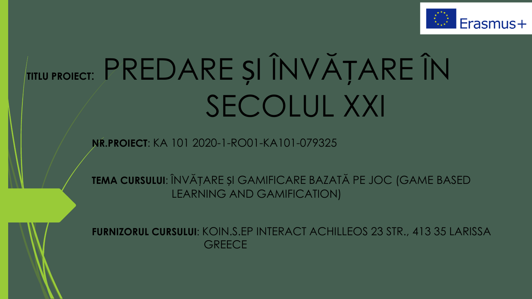

# TITLU PROLECT: PREDARE ȘI ÎNVĂȚARE ÎN SECOLUL XXI

NR. PROIECT: KA 101 2020-1-RO01-KA101-079325

TEMA CURSULUI: ÎNVĂȚARE ȘI GAMIFICARE BAZATĂ PE JOC (GAME BASED **LEARNING AND GAMIFICATION)** 



**FURNIZORUL CURSULUI: KOIN.S.EP INTERACT ACHILLEOS 23 STR., 413 35 LARISSA GREECE**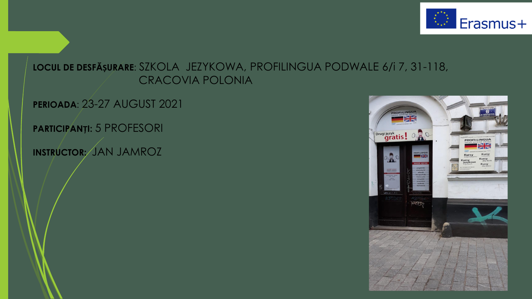

### LOCUL DE DESFĂȘURARE: SZKOLA JEZYKOWA, PROFILINGUA PODWALE 6/1 7, 31-118, **CRACOVIA POLONIA**

**PERIOADA: 23-27 AUGUST 2021** 

**PARTICIPANTI: 5 PROFESORI** 

INSTRUCTOR; JAN JAMROZ

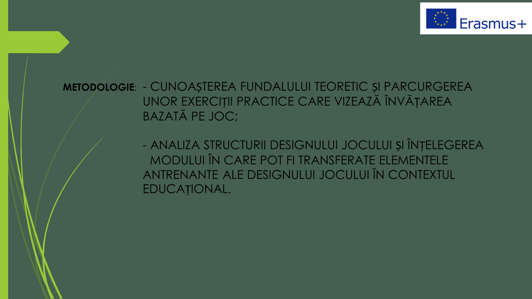

METODOLOGIE: - CUNOAȘTEREA FUNDALULUI TEORETIC ȘI PARCURGEREA UNOR EXERCIȚII PRACTICE CARE VIZEAZĂ ÎNVĂȚAREA **BAZATĂ PE JOC;** 

> - ANALIZA STRUCTURII DESIGNULUI JOCULUI ȘI ÎNȚELEGEREA MODULUI ÎN CARE POT FI TRANSFERATE ELEMENTELE ANTRENANTE ALE DESIGNULUI JOCULUI ÎN CONTEXTUL EDUCAȚIONAL.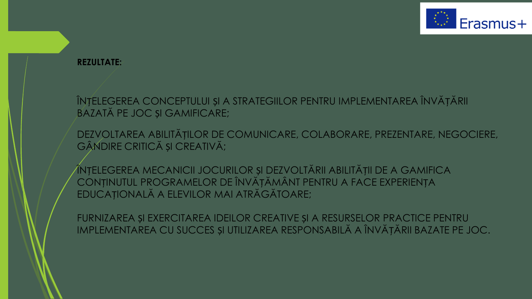

#### **REZULTATE:**

ÎNȚELEGEREA CONCEPTULUI ȘI A STRATEGIILOR PENTRU IMPLEMENTAREA ÎNVĂȚĂRII BAZATĂ PE JOC ȘI GAMIFICARE;

DEZVOLTAREA ABILITĂȚILOR DE COMUNICARE, COLABORARE, PREZENTARE, NEGOCIERE, GÂNDIRE CRITICĂ ȘI CREATIVĂ;

ÎNȚELEGEREA MECANICII JOCURILOR ȘI DEZVOLTĂRII ABILITĂȚII DE A GAMIFICA CONȚINUTUL PROGRAMELOR DE ÎNVĂȚĂMÂNT PENTRU A FACE EXPERIENȚA EDUCAȚIONALĂ A ELEVILOR MAI ATRĂGĂTOARE;

FURNIZAREA ȘI EXERCITAREA IDEILOR CREATIVE ȘI A RESURSELOR PRACTICE PENTRU IMPLEMENTAREA CU SUCCES ȘI UTILIZAREA RESPONSABILĂ A ÎNVĂȚĂRII BAZATE PE JOC.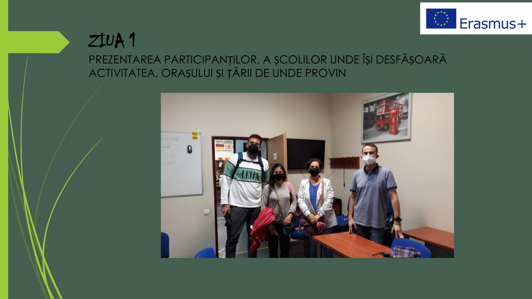

# $ZUVA1$

PREZENTAREA PARTICIPANȚILOR, A ȘCOLILOR UNDE ÎȘI DESFĂȘOARĂ ACTIVITATEA, ORAȘULUI ȘI ȚĂRII DE UNDE PROVIN

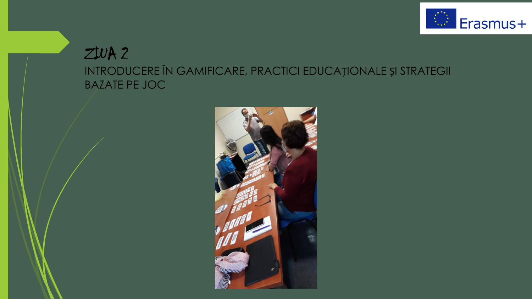

## $ZUVA2$ INTRODUCERE ÎN GAMIFICARE, PRACTICI EDUCAȚIONALE ȘI STRATEGII **BAZATE PE JOC**

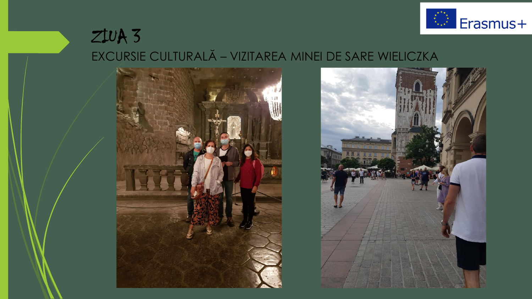

## $ZUVA3$ EXCURSIE CULTURALĂ - VIZITAREA MINEI DE SARE WIELICZKA



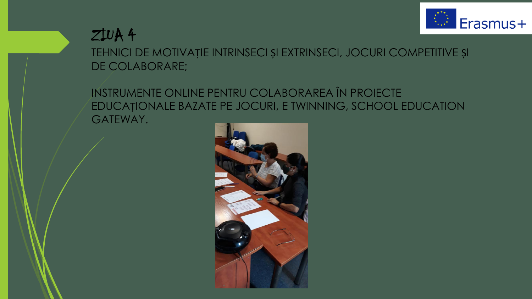



TEHNICI DE MOTIVAȚIE INTRINSECI ȘI EXTRINSECI, JOCURI COMPETITIVE ȘI DE COLABORARE;

INSTRUMENTE ONLINE PENTRU COLABORAREA ÎN PROIECTE EDUCAȚIONALE BAZATE PE JOCURI, E TWINNING, SCHOOL EDUCATION GATEWAY.

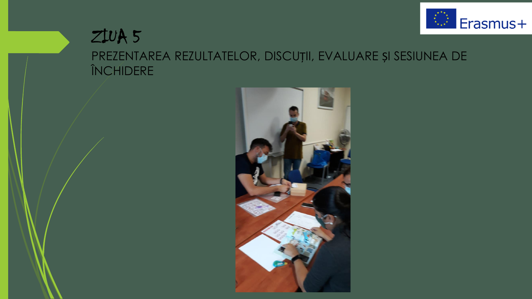

## $Zt\cup A5$ PREZENTAREA REZULTATELOR, DISCUȚII, EVALUARE ȘI SESIUNEA DE ÎNCHIDERE

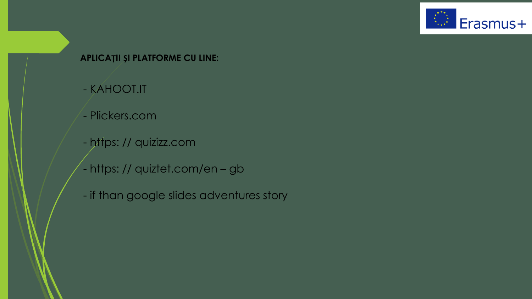

#### APLICAȚII ȘI PLATFORME CU LINE:

- KAHOOT.IT
- Plickers.com
- https:// quizizz.com
- https:// quiztet.com/en-gb
- if than google slides adventures story